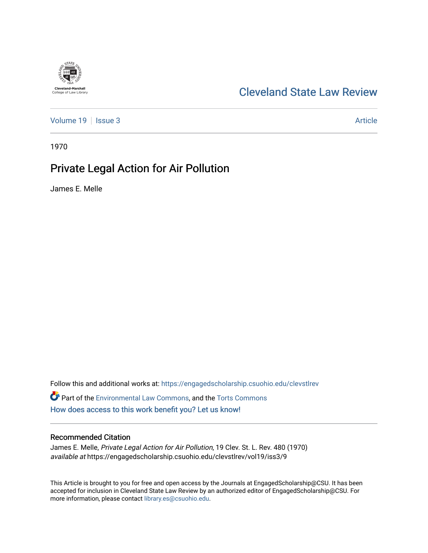# **Cleveland-Marshall**<br>College of Law Library

## [Cleveland State Law Review](https://engagedscholarship.csuohio.edu/clevstlrev)

[Volume 19](https://engagedscholarship.csuohio.edu/clevstlrev/vol19) | [Issue 3](https://engagedscholarship.csuohio.edu/clevstlrev/vol19/iss3) Article

1970

## Private Legal Action for Air Pollution

James E. Melle

Follow this and additional works at: [https://engagedscholarship.csuohio.edu/clevstlrev](https://engagedscholarship.csuohio.edu/clevstlrev?utm_source=engagedscholarship.csuohio.edu%2Fclevstlrev%2Fvol19%2Fiss3%2F9&utm_medium=PDF&utm_campaign=PDFCoverPages) Part of the [Environmental Law Commons](http://network.bepress.com/hgg/discipline/599?utm_source=engagedscholarship.csuohio.edu%2Fclevstlrev%2Fvol19%2Fiss3%2F9&utm_medium=PDF&utm_campaign=PDFCoverPages), and the [Torts Commons](http://network.bepress.com/hgg/discipline/913?utm_source=engagedscholarship.csuohio.edu%2Fclevstlrev%2Fvol19%2Fiss3%2F9&utm_medium=PDF&utm_campaign=PDFCoverPages) [How does access to this work benefit you? Let us know!](http://library.csuohio.edu/engaged/)

## Recommended Citation

James E. Melle, Private Legal Action for Air Pollution, 19 Clev. St. L. Rev. 480 (1970) available at https://engagedscholarship.csuohio.edu/clevstlrev/vol19/iss3/9

This Article is brought to you for free and open access by the Journals at EngagedScholarship@CSU. It has been accepted for inclusion in Cleveland State Law Review by an authorized editor of EngagedScholarship@CSU. For more information, please contact [library.es@csuohio.edu](mailto:library.es@csuohio.edu).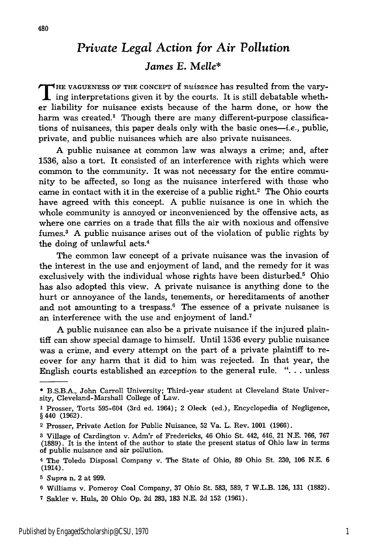## *Private Legal Action for Air Pollution*

## *James E. Melle\**

**T HE VAGUENESS** OF THE **CONCEPT** of *nuisance* has resulted from the vary- $\blacksquare$  ing interpretations given it by the courts. It is still debatable whether liability for nuisance exists because of the harm done, or how the harm was created.<sup>1</sup> Though there are many different-purpose classifications of nuisances, this paper deals only with the basic ones-i.e., public, private, and public nuisances which are also private nuisances.

A public nuisance at common law was always a crime; and, after 1536, also a tort. It consisted of an interference with rights which were common to the community. It was not necessary for the entire community to be affected, so long as the nuisance interfered with those who came in contact with it in the exercise of a public right.<sup>2</sup> The Ohio courts have agreed with this concept. A public nuisance is one in which the whole community is annoyed or inconvenienced by the offensive acts, as where one carries on a trade that fills the air with noxious and offensive fumes.<sup>3</sup> A public nuisance arises out of the violation of public rights by the doing of unlawful acts.4

The common law concept of a private nuisance was the invasion of the interest in the use and enjoyment of land, and the remedy for it was exclusively with the individual whose rights have been disturbed.<sup>5</sup> Ohio has also adopted this view. A private nuisance is anything done to the hurt or annoyance of the lands, tenements, or hereditaments of another and not amounting to a trespass.<sup>6</sup> The essence of a private nuisance is an interference with the use and enjoyment of land.7

A public nuisance can also be a private nuisance if the injured plaintiff can show special damage to himself. Until 1536 every public nuisance was a crime, and every attempt on the part of a private plaintiff to recover for any harm that it did to him was rejected. In that year, the English courts established an *exception* to the general rule. ". **.** . unless

**<sup>\*</sup>** B.S.B.A., John Carroll University; Third-year student at Cleveland State University, Cleveland-Marshall College of Law.

**<sup>1</sup>** Prosser, Torts 595-604 (3rd ed. 1964); 2 Oleck (ed.), Encyclopedia of Negligence, **§** 440 **(1962).**

<sup>2</sup> Prosser, Private Action for Public Nuisance, 52 Va. L. Rev. **1001** (1966).

**<sup>3</sup>** Village of Cardington v. Adm'r of Fredericks, 46 Ohio St. 442, 446, 21 N.E. 766, 767 (1889). It is the intent of the author to state the present status of Ohio law in terms of public nuisance and air pollution.

<sup>4</sup> The Toledo Disposal Company v. The State of Ohio, 89 Ohio St. 230, **106** N.E. 6 (1914).

**<sup>5</sup>** *Supra* n. 2 at 999.

**<sup>6</sup>**Williams v. Pomeroy Coal Company, 37 Ohio St. 583, 589, 7 W.L.B. 126, 131 (1882).

**<sup>7</sup>** Sakler v. Huls, 20 Ohio Op. **2d** 283, 183 N.E. 2d 152 (1961).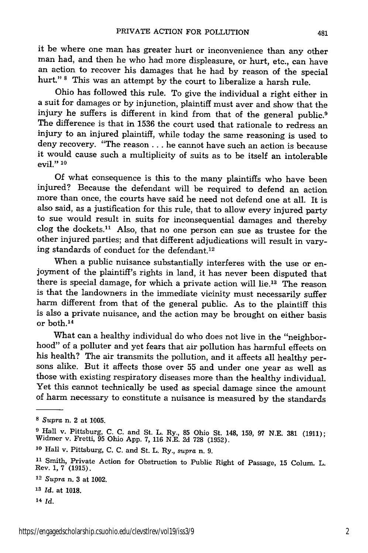it be where one man has greater hurt or inconvenience than any other man had, and then he who had more displeasure, or hurt, etc., can have an action to recover his damages that he had by reason of the special hurt." **8** This was an attempt by the court to liberalize a harsh rule.

Ohio has followed this rule. To give the individual a right either in a suit for damages or by injunction, plaintiff must aver and show that the injury he suffers is different in kind from that of the general public.<sup>9</sup><br>The difference is that in 1536 the court used that rationale to redress an injury to an injured plaintiff, while today the same reasoning is used to deny recovery. "The reason... he cannot have such an action is because it would cause such a multiplicity of suits as to be itself an intolerable evil." **10**

Of what consequence is this to the many plaintiffs who have been injured? Because the defendant will be required to defend an action more than once, the courts have said he need not defend one at all. It is also said, as a justification for this rule, that to allow every injured party to sue would result in suits for inconsequential damages and thereby clog the dockets.<sup>11</sup> Also, that no one person can sue as trustee for the other injured parties; and that different adjudications will result in vary-<br>ing standards of conduct for the defendant.<sup>12</sup>

When a public nuisance substantially interferes with the use or enjoyment of the plaintiff's rights in land, it has never been disputed that there is special damage, for which a private action will lie.<sup>13</sup> The reason is that the landowners in the immediate vicinity must necessarily suffer harm different from that of the general public. As to the plaintiff this is also a private nuisance, and the action may be brought on either basis or both. <sup>14</sup>

What can a healthy individual do who does not live in the "neighbor-<br>hood" of a polluter and yet fears that air pollution has harmful effects on his health? The air transmits the pollution, and it affects all healthy persons alike. But it affects those over 55 and under one year as well as those with existing respiratory diseases more than the healthy individual. Yet this cannot technically be used as special damage since the amount of harm necessary to constitute a nuisance is measured by the standards

<sup>14</sup>*Id.*

**<sup>8</sup>** *Supra* n. 2 at **1005.**

**<sup>9</sup>**Hall v. Pittsburg, C. C. and St. L. Ry., **85** Ohio St. 148, 159, 97 N.E. 381 (1911); Widmer v. Fretti, 95 Ohio App. 7, 116 N.E. 2d 728 (1952).

**<sup>10</sup>**Hall v. Pittsburg, C. C. and St. L. Ry., *supra* n. 9.

**<sup>11</sup>**Smith, Private Action for Obstruction to Public Right of Passage, 15 Colum. L. Rev. 1, 7 (1915).

<sup>12</sup>*Supra* n. 3 at 1002.

**<sup>13</sup>***Id.* at **1018.**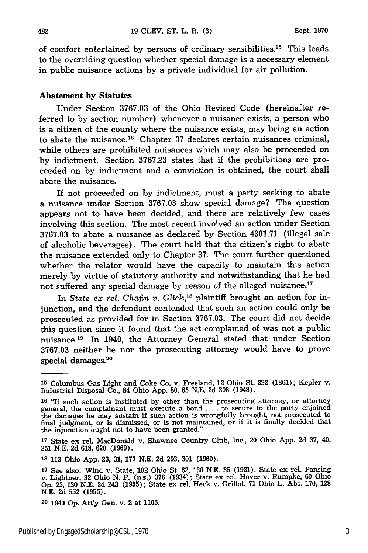of comfort entertained by persons of ordinary sensibilities.15 This leads to the overriding question whether special damage is a necessary element in public nuisance actions **by** a private individual for air pollution.

#### **Abatement by Statutes**

Under Section **3767.03** of the Ohio Revised Code (hereinafter referred to by section number) whenever a nuisance exists, a person who is a citizen of the county where the nuisance exists, may bring an action to abate the nuisance.<sup>16</sup> Chapter 37 declares certain nuisances criminal, while others are prohibited nuisances which may also be proceeded on **by** indictment. Section **3767.23** states that if the prohibitions are proceeded on **by** indictment and a conviction is obtained, the court shall abate the nuisance.

If not proceeded on by indictment, must a party seeking to abate a nuisance under Section **3767.03** show special damage? The question appears not to have been decided, and there are relatively few cases involving this section. The most recent involved an action under Section **3767.03** to abate a nuisance as declared **by** Section 4301.71 (illegal sale of alcoholic beverages). The court held that the citizen's right to abate the nuisance extended only to Chapter **37.** The court further questioned whether the relator would have the capacity to maintain this action merely **by** virtue of statutory authority and notwithstanding that he had not suffered any special damage **by** reason of the alleged nuisance. <sup>17</sup>

In *State ex rel. Chafin v. Glick*,<sup>18</sup> plaintiff brought an action for injunction, and the defendant contended that such an action could only be prosecuted as provided for in Section 3767.03. The court did not decide this question since it found that the act complained of was not a public nuisance. 19 In 1940, the Attorney General stated that under Section 3767.03 neither he nor the prosecuting attorney would have to prove special damages.<sup>20</sup>

**<sup>15</sup>**Columbus Gas Light and Coke Co. v. Freeland, 12 Ohio St. **392** (1861); Kepler v. Industrial Disposal Co., 84 Ohio App. **80, 85** N.E. 2d **308** (1948).

**<sup>16</sup>**"If such action is instituted by other than the prosecuting attorney, or attorney general, the complainant must execute a bond . . . to secure to the party enjoined the damages he may sustain if such action is wrongfully brought, not prosecuted to final judgment, or is dismissed, or is not maintained, or if it is finally decided that the injunction ought not to have been granted."

**<sup>17</sup>**State ex rel. MacDonald v. Shawnee Country Club, Inc., 20 Ohio App. 2d **37,** 40, 251 N.E. 2d 618, **620** (1969).

**<sup>18</sup>** 113 Ohio App. **23,** 31, 177 N.E. 2d 293, **301** (1960).

**<sup>19</sup>**See also: Wind v. State, 102 Ohio St. **62,** 130 N.E. **35** (1921); State ex rel. Pansing v. Lightner, **32** Ohio N. P. (ns.) 376 (1934); State ex rel. Hover v. Rumpke, **60** Ohio Op. 25, **130** N.E. 2d 243 (1955); State ex rel. Heck v. Grillot, 71 Ohio L. Abs. 170, **128** N.E. **2d 552** (1955).

**<sup>20</sup>**1940 Op. Att'y Gen. v. 2 at **1105.**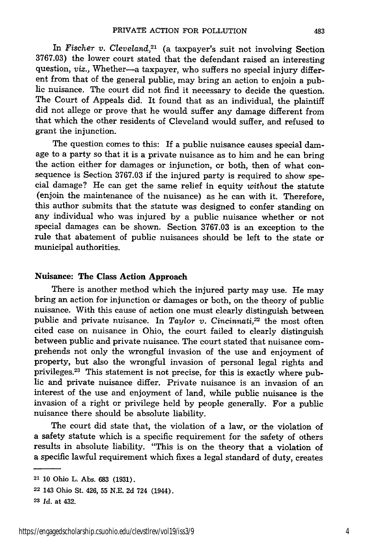In *Fischer v. Cleveland,21* (a taxpayer's suit not involving Section 3767.03) the lower court stated that the defendant raised an interesting question, *viz.*, Whether-a taxpayer, who suffers no special injury different from that of the general public, may bring an action to enjoin a public nuisance. The court did not find it necessary to decide the question. The Court of Appeals did. It found that as an individual, the plaintiff did not allege or prove that he would suffer any damage different from that which the other residents of Cleveland would suffer, and refused to grant the injunction.

The question comes to this: If a public nuisance causes special damage to a party so that it is a private nuisance as to him and he can bring the action either for damages or injunction, or both, then of what consequence is Section 3767.03 if the injured party is required to show special damage? He can get the same relief in equity *without* the statute (enjoin the maintenance of the nuisance) as he can with it. Therefore, this author submits that the statute was designed to confer standing on any individual who was injured by a public nuisance whether or not special damages can be shown. Section 3767.03 is an exception to the rule that abatement of public nuisances should be left to the state or municipal authorities.

### Nuisance: **The Class Action Approach**

There is another method which the injured party may use. He may bring an action for injunction or damages or both, on the theory of public nuisance. With this cause of action one must clearly distinguish between public and private nuisance. In *Taylor v. Cincinnati,22* the most often cited case on nuisance in Ohio, the court failed to clearly distinguish between public and private nuisance. The court stated that nuisance comprehends not only the wrongful invasion of the use and enjoyment of property, but also the wrongful invasion of personal legal rights and privileges.23 This statement is not precise, for this is exactly where public and private nuisance differ. Private nuisance is an invasion of an interest of the use and enjoyment of land, while public nuisance is the invasion of a right or privilege held by people generally. For a public nuisance there should be absolute liability.

The court did state that, the violation of a law, or the violation of a safety statute which is a specific requirement for the safety of others results in absolute liability. "This is on the theory that a violation of a specific lawful requirement which fixes a legal standard of duty, creates

<sup>21 10</sup> Ohio L. Abs. 683 (1931).

**<sup>22</sup>** 143 Ohio St. 426, **55** N.E. 2d 724 (1944).

**<sup>23</sup>** *Id.* at 432.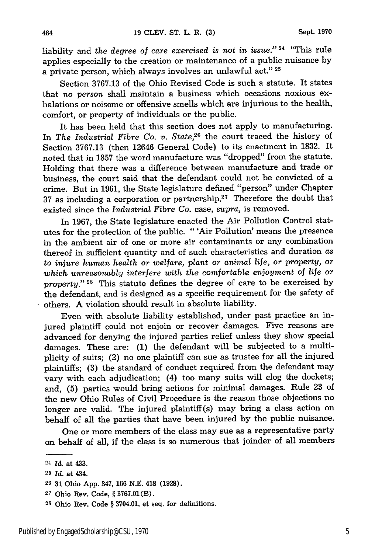liability and *the degree of care exercised is not in issue."* 24 "This rule applies especially to the creation or maintenance of a public nuisance by a private person, which always involves an unlawful act." <sup>25</sup>

Section 3767.13 of the Ohio Revised Code is such a statute. It states that *no person* shall maintain a business which occasions noxious exhalations or noisome or offensive smells which are injurious to the health, comfort, or property of individuals or the public.

It has been held that this section does not apply to manufacturing. In *The Industrial Fibre Co. v. State,26* the court traced the history of Section 3767.13 (then 12646 General Code) to its enactment in 1832. It noted that in 1857 the word manufacture was "dropped" from the statute. Holding that there was a difference between manufacture and trade or business, the court said that the defendant could not be convicted of a crime. But in 1961, the State legislature defined "person" under Chapter 37 as including a corporation or partnership.<sup>27</sup> Therefore the doubt that existed since the *Industrial Fibre* Co. case, *supra,* is removed.

In 1967, the State legislature enacted the Air Pollution Control statutes for the protection of the public. " 'Air Pollution' means the presence in the ambient air of one or more air contaminants or any combination thereof in sufficient quantity and of such characteristics and duration *as to injure human health or welfare, plant or animal life, or property, or which unreasonably interfere with the comfortable enjoyment of life or property."* **28** This statute defines the degree of care to be exercised by the defendant, and is designed as a specific requirement for the safety of others. A violation should result in absolute liability.

Even with absolute liability established, under past practice an injured plaintiff could not enjoin or recover damages. Five reasons are advanced for denying the injured parties relief unless they show special damages. These are: (1) the defendant will be subjected to a multiplicity of suits; (2) no one plaintiff can sue as trustee for all the injured plaintiffs; (3) the standard of conduct required from the defendant may vary with each adjudication; (4) too many suits will clog the dockets; and, (5) parties would bring actions for minimal damages. Rule 23 of the new Ohio Rules of Civil Procedure is the reason those objections no longer are valid. The injured plaintiff(s) may bring a class action on behalf of all the parties that have been injured by the public nuisance.

One or more members of the class may sue as a representative party on behalf of all, if the class is so numerous that joinder of all members

484

<sup>24</sup>*Id.* at 433.

**<sup>25</sup>** *Id.* at 434.

**<sup>26</sup>** 31 Ohio App. 347, 166 N.E. 418 (1928).

**<sup>27</sup>** Ohio Rev. Code, § 3767.01(B).

**<sup>28</sup>**Ohio Rev. Code § 3704.01, et seq. for definitions.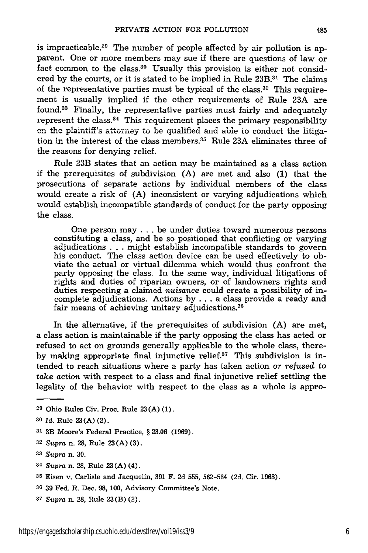is impracticable.<sup>29</sup> The number of people affected by air pollution is apparent. One or more members may sue if there are questions of law or fact common to the class.<sup>30</sup> Usually this provision is either not considered by the courts, or it is stated to be implied in Rule 23B.<sup>31</sup> The claims of the representative parties must be typical of the class.<sup>32</sup> This requirement is usually implied if the other requirements of Rule 23A are found.33 Finally, the representative parties must fairly and adequately represent the class.<sup>34</sup> This requirement places the primary responsibility **on** thc plantiff's attorney to be qualified and able to conduct the litigation in the interest of the class members.<sup>35</sup> Rule 23A eliminates three of the reasons for denying relief.

Rule 23B states that an action may be maintained as a class action if the prerequisites of subdivision (A) are met and also (1) that the prosecutions of separate actions by individual members of the class would create a risk of (A) inconsistent or varying adjudications which would establish incompatible standards of conduct for the party opposing the class.

One person may . . . be under duties toward numerous persons constituting a class, and be so positioned that conflicting or varying adjudications . . . might establish incompatible standards to govern his conduct. The class action device can be used effectively to obviate the actual or virtual dilemma which would thus confront the party opposing the class. In the same way, individual litigations of rights and duties of riparian owners, or of landowners rights and duties respecting a claimed *nuisance* could create a possibility of incomplete adjudications. Actions by . . . a class provide a ready and fair means of achieving unitary adjudications.<sup>36</sup>

In the alternative, if the prerequisites of subdivision (A) are met, a class action is maintainable if the party opposing the class has acted or refused to act on grounds generally applicable to the whole class, thereby making appropriate final injunctive relief.<sup>37</sup> This subdivision is intended to reach situations where a party has taken action or *refused to take action* with respect to a class and final injunctive relief settling the legality of the behavior with respect to the class as a whole is appro-

**<sup>32</sup>***Supra* n. 28, Rule **23** (A) (3).

*<sup>34</sup>Supra* n. **28,** Rule 23 (A) (4).

*<sup>37</sup>Supra* n. 28, Rule 23(B) (2).

**<sup>29</sup>** Ohio Rules Civ. Proc. Rule 23(A) (1).

**<sup>30</sup>***Id.* Rule 23(A) (2).

**<sup>31</sup>**3B Moore's Federal Practice, § 23.06 (1969).

**<sup>33</sup>***Supra* n. 30.

**<sup>35</sup>**Eisen v. Carlisle and Jacquelin, 391 F. 2d 555, 562-564 (2d. Cir. 1968).

**<sup>36</sup>**39 Fed. R. Dec. 98, 100, Advisory Committee's Note.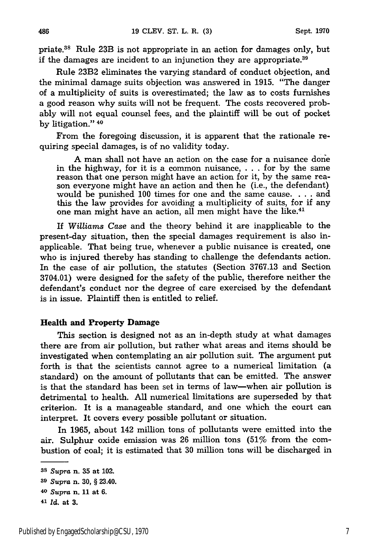priate.38 Rule 23B is not appropriate in an action for damages only, but if the damages are incident to an injunction they are appropriate.<sup>39</sup>

Rule 23B2 eliminates the varying standard of conduct objection, and the minimal damage suits objection was answered in 1915. "The danger of a multiplicity of suits is overestimated; the law as to costs furnishes a good reason why suits will not be frequent. The costs recovered probably will not equal counsel fees, and the plaintiff will be out of pocket by litigation." <sup>40</sup>

From the foregoing discussion, it is apparent that the rationale requiring special damages, is of no validity today.

A man shall not have an action on the case for a nuisance done in the highway, for it is a common nuisance, . . . for by the same reason that one person might have an action for it, by the same reason everyone might have an action and then he (i.e., the defendant) would be punished 100 times for one and the same cause. . **.** . and this the law provides for avoiding a multiplicity of suits, for if any one man might have an action, all men might have the like.<sup>41</sup>

If *Williams Case* and the theory behind it are inapplicable to the present-day situation, then the special damages requirement is also inapplicable. That being true, whenever a public nuisance is created, one who is injured thereby has standing to challenge the defendants action. In the case of air pollution, the statutes (Section 3767.13 and Section 3704.01) were designed for the safety of the public, therefore neither the defendant's conduct nor the degree of care exercised by the defendant is in issue. Plaintiff then is entitled to relief.

#### **Health and Property Damage**

This section is designed not as an in-depth study at what damages there are from air pollution, but rather what areas and items should be investigated when contemplating an air pollution suit. The argument put forth is that the scientists cannot agree to a numerical limitation (a standard) on the amount of pollutants that can be emitted. The answer is that the standard has been set in terms of law-when air pollution is detrimental to health. All numerical limitations are superseded by that criterion. It is a manageable standard, and one which the court can interpret. It covers every possible pollutant or situation.

In 1965, about 142 million tons of pollutants were emitted into the air. Sulphur oxide emission was 26 million tons (51% from the combustion of coal; it is estimated that 30 million tons will be discharged in

486

**<sup>38</sup>***Supra* n. **35** at 102. **<sup>39</sup>***Supra* n. 30, § 23.40. **<sup>40</sup>***Supra* n. **11** at **6.**

*<sup>41</sup> Id.* at **3.**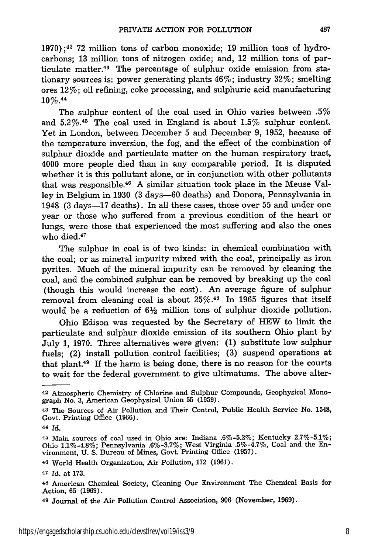$1970$ ;<sup>42</sup> 72 million tons of carbon monoxide; 19 million tons of hydrocarbons; 13 million tons of nitrogen oxide; and, 12 million tons of particulate matter.<sup>43</sup> The percentage of sulphur oxide emission from stationary sources is: power generating plants 46%; industry 32%; smelting ores 12%; oil refining, coke processing, and sulphuric acid manufacturing **10%. <sup>44</sup>**

The sulphur content of the coal used in Ohio varies between .5% and **5.2%. <sup>4</sup> <sup>5</sup>**The coal used in England is about 1.5% sulphur content. Yet in London, between December 5 and December 9, 1952, because of the temperature inversion, the fog, and the effect of the combination of sulphur dioxide and particulate matter on the human respiratory tract, 4000 more people died than in any comparable period. It is disputed whether it is this pollutant alone, or in conjunction with other pollutants that was responsible.46 A similar situation took place in the Meuse Valley in Belgium in 1930 (3 days-60 deaths) and Donora, Pennsylvania in 1948 (3 days-17 deaths). In all these cases, those over 55 and under one year or those who suffered from a previous condition of the heart or lungs, were those that experienced the most suffering and also the ones who died.<sup>47</sup>

The sulphur in coal is of two kinds: in chemical combination with the coal; or as mineral impurity mixed with the coal, principally as iron pyrites. Much of the mineral impurity can be removed by cleaning the coal, and the combined sulphur can be removed by breaking up the coal (though this would increase the cost). An average figure of sulphur removal from cleaning coal is about 25%.<sup>48</sup> In 1965 figures that itself would be a reduction of  $6\frac{1}{2}$  million tons of sulphur dioxide pollution.

Ohio Edison was requested by the Secretary of HEW to limit the particulate and sulphur dioxide emission of its southern Ohio plant by July 1, 1970. Three alternatives were given: (1) substitute low sulphur fuels; (2) install pollution control facilities; (3) suspend operations at that plant. $49$  If the harm is being done, there is no reason for the courts to wait for the federal government to give ultimatums. The above alter-

**<sup>42</sup>** Atmospheric Chemistry of Chlorine and Sulphur Compounds, Geophysical Monograph No. 3, American Geophysical Union 55 (1959).

**<sup>43</sup>**The Sources of Air Pollution and Their Control, Public Health Service No. 1548, Govt. Printing Office (1966).

*<sup>44</sup>Id.*

**<sup>45</sup>**Main sources of coal used in Ohio are: Indiana .6%-5.2%; Kentucky 2.7%-5.1%; Ohio 1.1%-4.8%; Pennsylvania .6%-3.7%; West Virginia .5%-4.7%, Coal and the Environment, U. S. Bureau of Mines, Govt. Printing Office (1957).

<sup>46</sup> World Health Organization, Air Pollution, 172 (1961).

**<sup>47</sup>***Id.* at **173.**

<sup>48</sup> American Chemical Society, Cleaning Our Environment The Chemical Basis for Action, 65 (1969).

**<sup>49</sup>**Journal of the Air Pollution Control Association, **906** (November, 1969).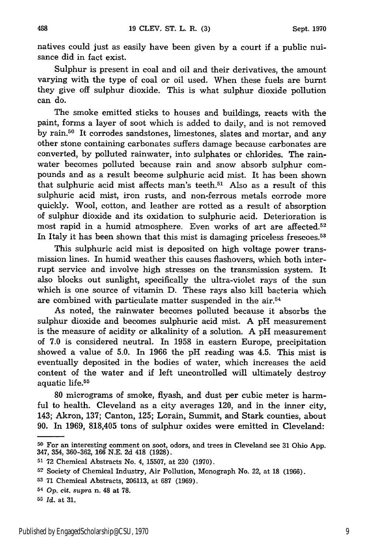natives could just as easily have been given by a court if a public nuisance did in fact exist.

Sulphur is present in coal and oil and their derivatives, the amount varying with the type of coal or oil used. When these fuels are burnt they give off sulphur dioxide. This is what sulphur dioxide pollution can do.

The smoke emitted sticks to houses and buildings, reacts with the paint, forms a layer of soot which is added to daily, and is not removed by rain.<sup>50</sup> It corrodes sandstones, limestones, slates and mortar, and any other stone containing carbonates suffers damage because carbonates are converted, by polluted rainwater, into sulphates or chlorides. The rainwater becomes polluted because rain and snow absorb sulphur compounds and as a result become sulphuric acid mist. It has been shown that sulphuric acid mist affects man's teeth.<sup>51</sup> Also as a result of this sulphuric acid mist, iron rusts, and non-ferrous metals corrode more quickly. Wool, cotton, and leather are rotted as a result of absorption of sulphur dioxide and its oxidation to sulphuric acid. Deterioration is most rapid in a humid atmosphere. Even works of art are affected.<sup>52</sup> In Italy it has been shown that this mist is damaging priceless frescoes.<sup>53</sup>

This sulphuric acid mist is deposited on high voltage power transmission lines. In humid weather this causes flashovers, which both interrupt service and involve high stresses on the transmission system. It also blocks out sunlight, specifically the ultra-violet rays of the sun which is one source of vitamin D. These rays also kill bacteria which are combined with particulate matter suspended in the air.54

As noted, the rainwater becomes polluted because it absorbs the sulphur dioxide and becomes sulphuric acid mist. A pH measurement is the measure of acidity or alkalinity of a solution. A pH measurement of 7.0 is considered neutral. In 1958 in eastern Europe, precipitation showed a value of 5.0. In 1966 the pH reading was 4.5. This mist is eventually deposited in the bodies of water, which increases the acid content of the water and if left uncontrolled will ultimately destroy aquatic life.55

80 micrograms of smoke, flyash, and dust per cubic meter is harmful to health. Cleveland as a city averages 120, and in the inner city, 143; Akron, 137; Canton, 125; Lorain, Summit, and Stark counties, about 90. In 1969, 818,405 tons of sulphur oxides were emitted in Cleveland:

**<sup>50</sup>**For an interesting comment on soot, odors, and trees in Cleveland see **31** Ohio **App.** 347, 354, 360-362, 166 N.E. 2d 418 (1928).

**<sup>51</sup>**72 Chemical Abstracts No. 4, 15507, at 230 (1970).

<sup>52</sup> Society of Chemical Industry, Air Pollution, Monograph No. 22, at **18** (1966).

**<sup>53</sup>**71 Chemical Abstracts, 206113, at 687 (1969).

**<sup>54</sup>***Op.* cit. supra n. 48 at **78.**

**<sup>55</sup>***Id.* at 31.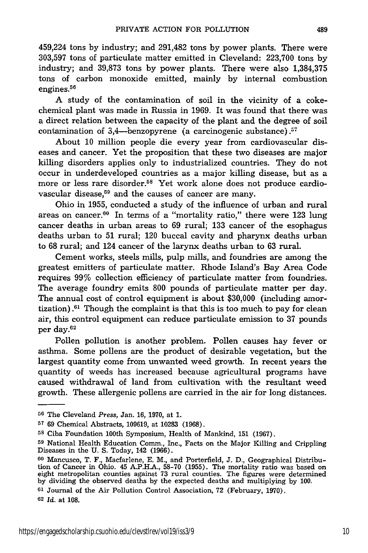459,224 tons by industry; and 291,482 tons by power plants. There were 303,597 tons of particulate matter emitted in Cleveland: 223,700 tons by industry; and 39,873 tons by power plants. There were also 1,384,375 tons of carbon monoxide emitted, mainly by internal combustion engines.<sup>56</sup>

A study of the contamination of soil in the vicinity of a cokechemical plant was made in Russia in 1969. It was found that there was a direct relation between the capacity of the plant and the degree of soil contamination of  $3,4$ -benzopyrene (a carcinogenic substance).<sup>57</sup>

About 10 million people die every year from cardiovascular diseases and cancer. Yet the proposition that these two diseases are major killing disorders applies only to industrialized countries. They do not occur in underdeveloped countries as a major killing disease, but as a more or less rare disorder.<sup>58</sup> Yet work alone does not produce cardiovascular disease, $59$  and the causes of cancer are many.

Ohio in 1955, conducted a study of the influence of urban and rural areas on cancer. $60$  In terms of a "mortality ratio," there were 123 lung cancer deaths in urban areas to 69 rural; 133 cancer of the esophagus deaths urban to 51 rural; 120 buccal cavity and pharynx deaths urban to 68 rural; and 124 cancer of the larynx deaths urban to 63 rural.

Cement works, steels mills, pulp mills, and foundries are among the greatest emitters of particulate matter. Rhode Island's Bay Area Code requires 99% collection efficiency of particulate matter from foundries. The average foundry emits 800 pounds of particulate matter per day. The annual cost of control equipment is about \$30,000 (including amortization). $61$  Though the complaint is that this is too much to pay for clean air, this control equipment can reduce particulate emission to 37 pounds per day. $62$ 

Pollen pollution is another problem. Pollen causes hay fever or asthma. Some pollens are the product of desirable vegetation, but the largest quantity come from unwanted weed growth. In recent years the quantity of weeds has increased because agricultural programs have caused withdrawal of land from cultivation with the resultant weed growth. These allergenic pollens are carried in the air for long distances.

**<sup>61</sup>**Journal of the Air Pollution Control Association, 72 (February, 1970). **<sup>62</sup>***Id.* at **108.**

**<sup>56</sup>**The Cleveland *Press,* Jan. 16, 1970, at 1.

**<sup>57</sup>**69 Chemical Abstracts, 109619, at 10283 (1968).

**<sup>58</sup>**Ciba Foundation 100th Symposium, Health of Mankind, 151 (1967).

**<sup>59</sup>**National Health Education Comm., Inc, Facts on the Major Killing and Crippling Diseases in the U. S. Today, 142 (1966).

**<sup>60</sup>** Mancusco, T. F., Macfarlene, E. M., and Porterfield, J. D., Geographical Distribution of Cancer in Ohio. 45 A.P.H.A., 58-70 (1955). The mortality ratio was based on eight metropolitan counties against 73 rural counties. The figures were determined by dividing the observed deaths by the expected deaths and multiplying by 100.